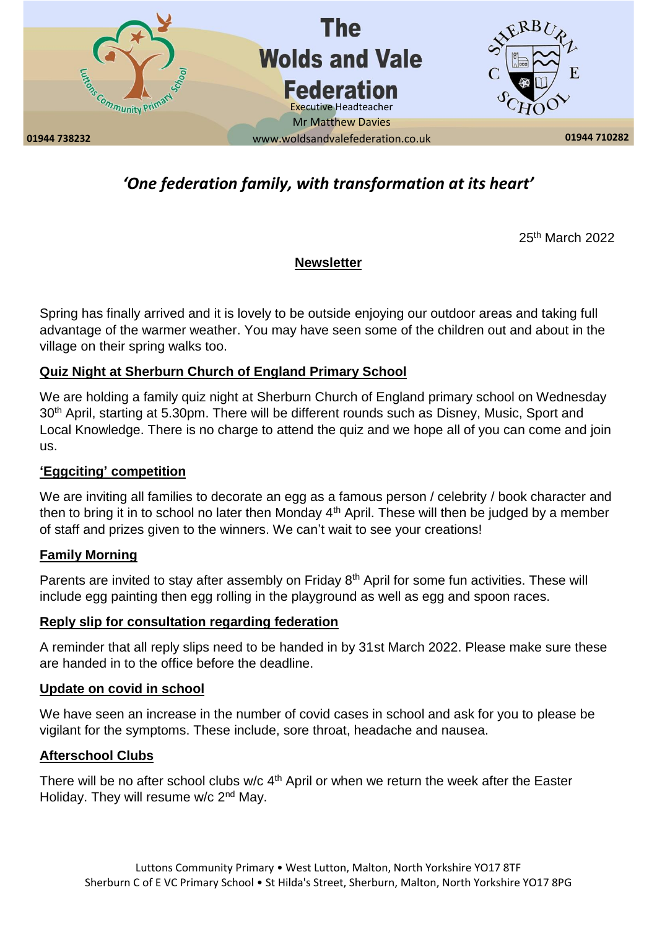

# *'One federation family, with transformation at its heart'*

25th March 2022

# **Newsletter**

Spring has finally arrived and it is lovely to be outside enjoying our outdoor areas and taking full advantage of the warmer weather. You may have seen some of the children out and about in the village on their spring walks too.

### **Quiz Night at Sherburn Church of England Primary School**

We are holding a family quiz night at Sherburn Church of England primary school on Wednesday 30<sup>th</sup> April, starting at 5.30pm. There will be different rounds such as Disney, Music, Sport and Local Knowledge. There is no charge to attend the quiz and we hope all of you can come and join us.

### **'Eggciting' competition**

We are inviting all families to decorate an egg as a famous person / celebrity / book character and then to bring it in to school no later then Monday  $4<sup>th</sup>$  April. These will then be judged by a member of staff and prizes given to the winners. We can't wait to see your creations!

### **Family Morning**

Parents are invited to stay after assembly on Friday 8<sup>th</sup> April for some fun activities. These will include egg painting then egg rolling in the playground as well as egg and spoon races.

### **Reply slip for consultation regarding federation**

A reminder that all reply slips need to be handed in by 31st March 2022. Please make sure these are handed in to the office before the deadline.

#### **Update on covid in school**

We have seen an increase in the number of covid cases in school and ask for you to please be vigilant for the symptoms. These include, sore throat, headache and nausea.

### **Afterschool Clubs**

There will be no after school clubs w/c  $4<sup>th</sup>$  April or when we return the week after the Easter Holiday. They will resume w/c 2<sup>nd</sup> May.